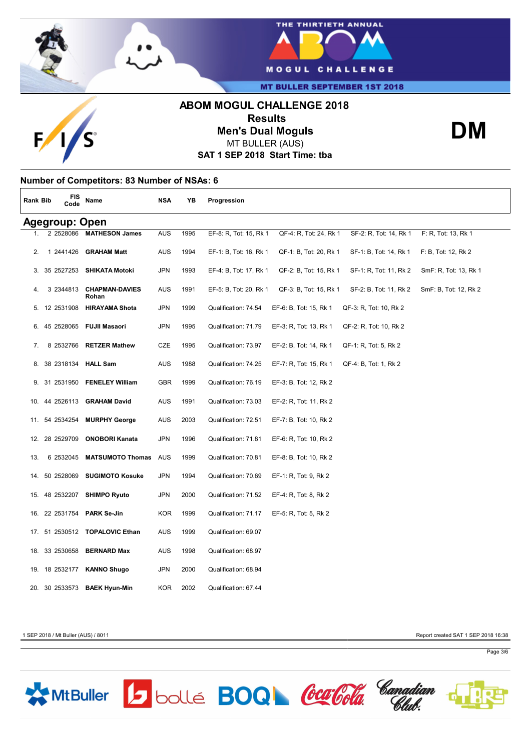



**MT BULLER SEPTEMBER 1ST 2018** 

# **ABOM MOGUL CHALLENGE 2018 Results**



**Men's Dual Moguls**

MT BULLER (AUS)

**SAT 1 SEP 2018 Start Time: tba**

## **Number of Competitors: 83 Number of NSAs: 6**

| Rank Bib              |  | FIS<br>Code    | Name                           | <b>NSA</b> | YB   | Progression            |                        |                        |                       |
|-----------------------|--|----------------|--------------------------------|------------|------|------------------------|------------------------|------------------------|-----------------------|
| <b>Agegroup: Open</b> |  |                |                                |            |      |                        |                        |                        |                       |
|                       |  | 2 2528086      | <b>MATHESON James</b>          | <b>AUS</b> | 1995 | EF-8: R, Tot: 15, Rk 1 | QF-4: R, Tot: 24, Rk 1 | SF-2: R, Tot: 14, Rk 1 | F: R, Tot: 13, Rk 1   |
| 2.                    |  | 1 2441426      | <b>GRAHAM Matt</b>             | AUS        | 1994 | EF-1: B, Tot: 16, Rk 1 | QF-1: B, Tot: 20, Rk 1 | SF-1: B, Tot: 14, Rk 1 | F: B, Tot: 12, Rk 2   |
|                       |  | 3. 35 2527253  | <b>SHIKATA Motoki</b>          | <b>JPN</b> | 1993 | EF-4: B, Tot: 17, Rk 1 | QF-2: B, Tot: 15, Rk 1 | SF-1: R, Tot: 11, Rk 2 | SmF: R, Tot: 13, Rk 1 |
|                       |  | 3 2344813      | <b>CHAPMAN-DAVIES</b><br>Rohan | AUS        | 1991 | EF-5: B, Tot: 20, Rk 1 | QF-3: B, Tot: 15, Rk 1 | SF-2: B, Tot: 11, Rk 2 | SmF: B, Tot: 12, Rk 2 |
|                       |  | 5. 12 2531908  | <b>HIRAYAMA Shota</b>          | <b>JPN</b> | 1999 | Qualification: 74.54   | EF-6: B, Tot: 15, Rk 1 | QF-3: R, Tot: 10, Rk 2 |                       |
|                       |  | 6. 45 2528065  | <b>FUJII Masaori</b>           | <b>JPN</b> | 1995 | Qualification: 71.79   | EF-3: R, Tot: 13, Rk 1 | QF-2: R, Tot: 10, Rk 2 |                       |
| 7.                    |  | 8 2532766      | <b>RETZER Mathew</b>           | CZE        | 1995 | Qualification: 73.97   | EF-2: B, Tot: 14, Rk 1 | QF-1: R, Tot: 5, Rk 2  |                       |
|                       |  | 8. 38 2318134  | <b>HALL Sam</b>                | AUS        | 1988 | Qualification: 74.25   | EF-7: R, Tot: 15, Rk 1 | QF-4: B, Tot: 1, Rk 2  |                       |
|                       |  | 9. 31 2531950  | <b>FENELEY William</b>         | <b>GBR</b> | 1999 | Qualification: 76.19   | EF-3: B, Tot: 12, Rk 2 |                        |                       |
|                       |  | 10. 44 2526113 | <b>GRAHAM David</b>            | <b>AUS</b> | 1991 | Qualification: 73.03   | EF-2: R, Tot: 11, Rk 2 |                        |                       |
|                       |  | 11. 54 2534254 | <b>MURPHY George</b>           | <b>AUS</b> | 2003 | Qualification: 72.51   | EF-7: B, Tot: 10, Rk 2 |                        |                       |
|                       |  | 12. 28 2529709 | <b>ONOBORI Kanata</b>          | <b>JPN</b> | 1996 | Qualification: 71.81   | EF-6: R, Tot: 10, Rk 2 |                        |                       |
| 13.                   |  | 6 2532045      | <b>MATSUMOTO Thomas</b>        | AUS        | 1999 | Qualification: 70.81   | EF-8: B, Tot: 10, Rk 2 |                        |                       |
|                       |  | 14. 50 2528069 | <b>SUGIMOTO Kosuke</b>         | JPN        | 1994 | Qualification: 70.69   | EF-1: R, Tot: 9, Rk 2  |                        |                       |
|                       |  | 15. 48 2532207 | <b>SHIMPO Ryuto</b>            | <b>JPN</b> | 2000 | Qualification: 71.52   | EF-4: R, Tot: 8, Rk 2  |                        |                       |
|                       |  | 16. 22 2531754 | <b>PARK Se-Jin</b>             | <b>KOR</b> | 1999 | Qualification: 71.17   | EF-5: R, Tot: 5, Rk 2  |                        |                       |
|                       |  |                | 17. 51 2530512 TOPALOVIC Ethan | <b>AUS</b> | 1999 | Qualification: 69.07   |                        |                        |                       |
|                       |  | 18. 33 2530658 | <b>BERNARD Max</b>             | AUS        | 1998 | Qualification: 68.97   |                        |                        |                       |
|                       |  | 19. 18 2532177 | <b>KANNO Shugo</b>             | <b>JPN</b> | 2000 | Qualification: 68.94   |                        |                        |                       |
|                       |  | 20. 30 2533573 | <b>BAEK Hyun-Min</b>           | <b>KOR</b> | 2002 | Qualification: 67.44   |                        |                        |                       |

1 SEP 2018 / Mt Buller (AUS) / 8011 Report created SAT 1 SEP 2018 16:38

**DM**









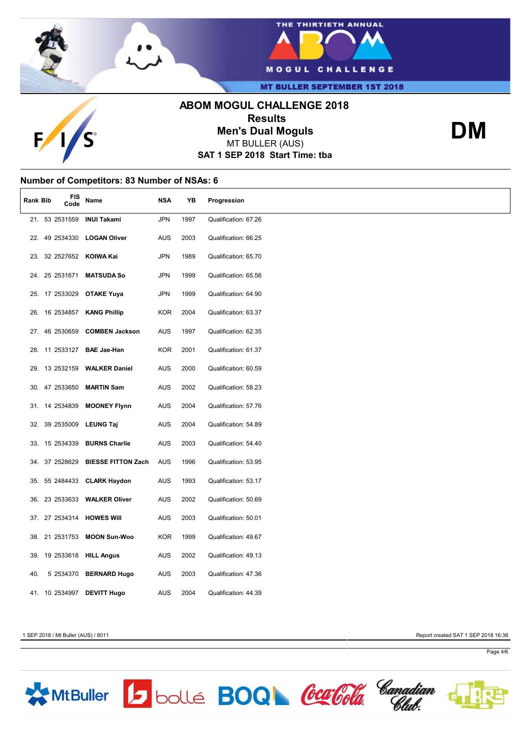



**MT BULLER SEPTEMBER 1ST 2018** 

# **ABOM MOGUL CHALLENGE 2018 Results Men's Dual Moguls**



MT BULLER (AUS)

**SAT 1 SEP 2018 Start Time: tba**

### **Number of Competitors: 83 Number of NSAs: 6**

| Rank Bib | FIS<br>Code    | Name                         | <b>NSA</b> | YB   | Progression          |
|----------|----------------|------------------------------|------------|------|----------------------|
|          |                | 21. 53 2531559 INUI Takami   | <b>JPN</b> | 1997 | Qualification: 67.26 |
|          | 22. 49 2534330 | <b>LOGAN Oliver</b>          | <b>AUS</b> | 2003 | Qualification: 66.25 |
|          |                | 23. 32 2527652 KOIWA Kai     | <b>JPN</b> | 1989 | Qualification: 65.70 |
|          | 24. 25 2531671 | <b>MATSUDA So</b>            | <b>JPN</b> | 1999 | Qualification: 65.56 |
|          | 25. 17 2533029 | <b>OTAKE Yuya</b>            | <b>JPN</b> | 1999 | Qualification: 64.90 |
|          |                | 26. 16 2534857 KANG Phillip  | <b>KOR</b> | 2004 | Qualification: 63.37 |
|          | 27. 46 2530659 | <b>COMBEN Jackson</b>        | AUS        | 1997 | Qualification: 62.35 |
|          |                | 28. 11 2533127 BAE Jae-Han   | <b>KOR</b> | 2001 | Qualification: 61.37 |
|          |                | 29. 13 2532159 WALKER Daniel | <b>AUS</b> | 2000 | Qualification: 60.59 |
|          | 30. 47 2533650 | <b>MARTIN Sam</b>            | <b>AUS</b> | 2002 | Qualification: 58.23 |
|          | 31. 14 2534839 | <b>MOONEY Flynn</b>          | <b>AUS</b> | 2004 | Qualification: 57.76 |
|          | 32. 39 2535009 | <b>LEUNG Taj</b>             | <b>AUS</b> | 2004 | Qualification: 54.89 |
|          | 33. 15 2534339 | <b>BURNS Charlie</b>         | <b>AUS</b> | 2003 | Qualification: 54.40 |
|          | 34. 37 2528629 | <b>BIESSE FITTON Zach</b>    | AUS        | 1996 | Qualification: 53.95 |
|          |                | 35. 55 2484433 CLARK Haydon  | AUS        | 1993 | Qualification: 53.17 |
|          |                | 36. 23 2533633 WALKER Oliver | <b>AUS</b> | 2002 | Qualification: 50.69 |
|          |                | 37. 27 2534314 HOWES Will    | <b>AUS</b> | 2003 | Qualification: 50.01 |
|          | 38. 21 2531753 | <b>MOON Sun-Woo</b>          | <b>KOR</b> | 1999 | Qualification: 49.67 |
|          |                | 39. 19 2533618 HILL Angus    | AUS        | 2002 | Qualification: 49.13 |
| 40.      | 5 2534370      | <b>BERNARD Hugo</b>          | <b>AUS</b> | 2003 | Qualification: 47.36 |
|          | 41. 10 2534997 | <b>DEVITT Hugo</b>           | <b>AUS</b> | 2004 | Qualification: 44.39 |

1 SEP 2018 / Mt Buller (AUS) / 8011 Report created SAT 1 SEP 2018 16:38

**DM**



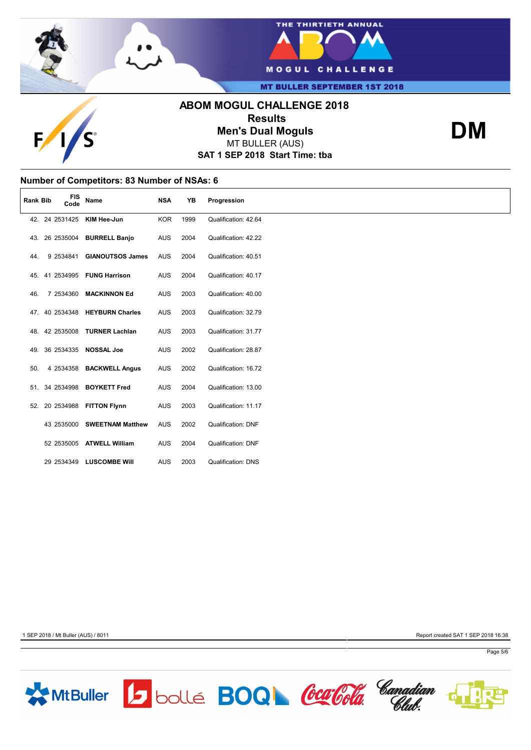



**MT BULLER SEPTEMBER 1ST 2018** 

# **ABOM MOGUL CHALLENGE 2018 Results Men's Dual Moguls**



MT BULLER (AUS)

**SAT 1 SEP 2018 Start Time: tba**



### **Number of Competitors: 83 Number of NSAs: 6**

| <b>Rank Bib</b> |                | <b>FIS</b><br>Code | Name                           | <b>NSA</b> | YB   | Progression               |
|-----------------|----------------|--------------------|--------------------------------|------------|------|---------------------------|
|                 | 42. 24 2531425 |                    | KIM Hee-Jun                    | <b>KOR</b> | 1999 | Qualification: 42.64      |
|                 | 43. 26 2535004 |                    | <b>BURRELL Banjo</b>           | <b>AUS</b> | 2004 | Qualification: 42.22      |
| 44.             | 9 2534841      |                    | <b>GIANOUTSOS James</b>        | <b>AUS</b> | 2004 | Qualification: 40.51      |
|                 | 45. 41 2534995 |                    | <b>FUNG Harrison</b>           | <b>AUS</b> | 2004 | Qualification: 40.17      |
| 46.             | 7 2534360      |                    | <b>MACKINNON Ed</b>            | <b>AUS</b> | 2003 | Qualification: 40.00      |
|                 |                |                    | 47. 40 2534348 HEYBURN Charles | <b>AUS</b> | 2003 | Qualification: 32.79      |
|                 | 48. 42 2535008 |                    | <b>TURNER Lachlan</b>          | <b>AUS</b> | 2003 | Qualification: 31.77      |
|                 | 49. 36 2534335 |                    | <b>NOSSAL Joe</b>              | <b>AUS</b> | 2002 | Qualification: 28.87      |
| 50.             | 4 2534358      |                    | <b>BACKWELL Angus</b>          | <b>AUS</b> | 2002 | Qualification: 16.72      |
|                 | 51. 34 2534998 |                    | <b>BOYKETT Fred</b>            | AUS        | 2004 | Qualification: 13.00      |
|                 |                |                    | 52. 20 2534988 FITTON Flynn    | <b>AUS</b> | 2003 | Qualification: 11.17      |
|                 | 43 2535000     |                    | <b>SWEETNAM Matthew</b>        | <b>AUS</b> | 2002 | <b>Qualification: DNF</b> |
|                 |                |                    | 52 2535005 ATWELL William      | <b>AUS</b> | 2004 | <b>Qualification: DNF</b> |
|                 | 29 2534349     |                    | <b>LUSCOMBE Will</b>           | <b>AUS</b> | 2003 | <b>Qualification: DNS</b> |

1 SEP 2018 / Mt Buller (AUS) / 8011 Report created SAT 1 SEP 2018 16:38







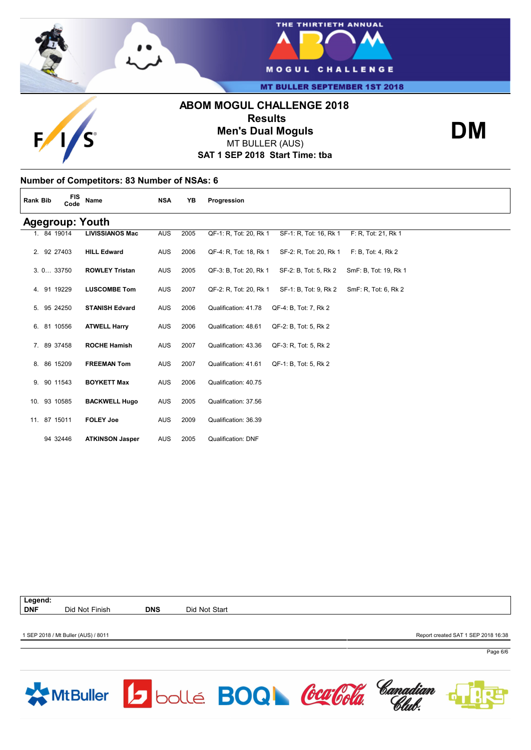

# **Number of Competitors: 83 Number of NSAs: 6 Rank Bib FIS Code Name NSA YB Progression Agegroup: Youth**<br>1. 84 19014 LIVISSIANOS Mac 1. 84 19014 **LIVISSIANOS Mac** AUS 2005 QF-1: R, Tot: 20, Rk 1 SF-1: R, Tot: 16, Rk 1 F: R, Tot: 21, Rk 1 2. 92 27403 **HILL Edward** AUS 2006 QF-4: R, Tot: 18, Rk 1 SF-2: R, Tot: 20, Rk 1 F: B, Tot: 4, Rk 2 3.10… 33750 **ROWLEY Tristan** AUS 2005 QF-3: B, Tot: 20, Rk 1 SF-2: B, Tot: 5, Rk 2 SmF: B, Tot: 19, Rk 1 4. 91 19229 **LUSCOMBE Tom** AUS 2007 QF-2: R, Tot: 20, Rk 1 SF-1: B, Tot: 9, Rk 2 SmF: R, Tot: 6, Rk 2 5. 95 24250 **STANISH Edvard** AUS 2006 Qualification: 41.78 QF-4: B, Tot: 7, Rk 2 6. 81 10556 **ATWELL Harry** AUS 2006 Qualification: 48.61 QF-2: B, Tot: 5, Rk 2 7. 89 37458 **ROCHE Hamish** AUS 2007 Qualification: 43.36 QF-3: R, Tot: 5, Rk 2 8. 86 15209 **FREEMAN Tom** AUS 2007 Qualification: 41.61 QF-1: B, Tot: 5, Rk 2 9. 90 11543 **BOYKETT Max** AUS 2006 Qualification: 40.75 10. 93 10585 **BACKWELL Hugo** AUS 2005 Qualification: 37.56

**Legend:**

11. 87 15011 **FOLEY Joe** AUS 2009 Qualification: 36.39

94 32446 **ATKINSON Jasper** AUS 2005 Qualification: DNF

**DNF** Did Not Finish **DNS** Did Not Start

1 SEP 2018 / Mt Buller (AUS) / 8011 Report created SAT 1 SEP 2018 16:38

Page 6/6





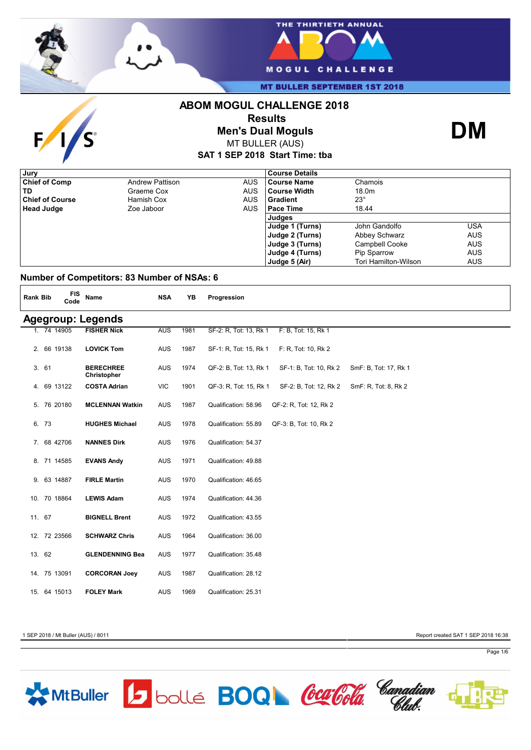

 $\mathbf{F}$ 

**S** 



**MT BULLER SEPTEMBER 1ST 2018** 

# **ABOM MOGUL CHALLENGE 2018**



**Men's Dual Moguls**



**SAT 1 SEP 2018 Start Time: tba** MT BULLER (AUS)

| Jury                   |                        |            | <b>Course Details</b> |                       |            |
|------------------------|------------------------|------------|-----------------------|-----------------------|------------|
| <b>Chief of Comp</b>   | <b>Andrew Pattison</b> | <b>AUS</b> | <b>Course Name</b>    | Chamois               |            |
| TD                     | Graeme Cox             | <b>AUS</b> | Course Width          | 18.0m                 |            |
| <b>Chief of Course</b> | Hamish Cox             | <b>AUS</b> | Gradient              | $23^\circ$            |            |
| <b>Head Judge</b>      | Zoe Jaboor             | <b>AUS</b> | l Pace Time           | 18.44                 |            |
|                        |                        |            | <b>Judges</b>         |                       |            |
|                        |                        |            | Judge 1 (Turns)       | John Gandolfo         | USA        |
|                        |                        |            | Judge 2 (Turns)       | Abbey Schwarz         | <b>AUS</b> |
|                        |                        |            | Judge 3 (Turns)       | <b>Campbell Cooke</b> | <b>AUS</b> |
|                        |                        |            | Judge 4 (Turns)       | Pip Sparrow           | <b>AUS</b> |
|                        |                        |            | Judge 5 (Air)         | Tori Hamilton-Wilson  | <b>AUS</b> |

### **Number of Competitors: 83 Number of NSAs: 6**

| <b>Rank Bib</b> |                          | <b>FIS</b><br>Code | Name                            | <b>NSA</b> | YB   | Progression                                                               |  |  |  |
|-----------------|--------------------------|--------------------|---------------------------------|------------|------|---------------------------------------------------------------------------|--|--|--|
|                 | <b>Agegroup: Legends</b> |                    |                                 |            |      |                                                                           |  |  |  |
|                 | 1. 74 14905              |                    | <b>FISHER Nick</b>              | <b>AUS</b> | 1981 | SF-2: R, Tot: 13, Rk 1<br>F: B, Tot: 15, Rk 1                             |  |  |  |
|                 | 2. 66 19138              |                    | <b>LOVICK Tom</b>               | AUS        | 1987 | SF-1: R, Tot: 15, Rk 1<br>F: R, Tot: 10, Rk 2                             |  |  |  |
| 3.61            |                          |                    | <b>BERECHREE</b><br>Christopher | AUS        | 1974 | QF-2: B, Tot: 13, Rk 1<br>SF-1: B, Tot: 10, Rk 2<br>SmF: B, Tot: 17, Rk 1 |  |  |  |
|                 | 4. 69 13122              |                    | <b>COSTA Adrian</b>             | <b>VIC</b> | 1901 | SmF: R, Tot: 8, Rk 2<br>QF-3: R, Tot: 15, Rk 1<br>SF-2: B, Tot: 12, Rk 2  |  |  |  |
|                 | 5. 76 20180              |                    | <b>MCLENNAN Watkin</b>          | <b>AUS</b> | 1987 | Qualification: 58.96<br>QF-2: R, Tot: 12, Rk 2                            |  |  |  |
| 6. 73           |                          |                    | <b>HUGHES Michael</b>           | AUS        | 1978 | Qualification: 55.89<br>QF-3: B, Tot: 10, Rk 2                            |  |  |  |
|                 | 7. 68 42706              |                    | <b>NANNES Dirk</b>              | AUS        | 1976 | Qualification: 54.37                                                      |  |  |  |
|                 | 8. 71 14585              |                    | <b>EVANS Andy</b>               | <b>AUS</b> | 1971 | Qualification: 49.88                                                      |  |  |  |
|                 | 9. 63 14887              |                    | <b>FIRLE Martin</b>             | AUS        | 1970 | Qualification: 46.65                                                      |  |  |  |
|                 | 10. 70 18864             |                    | <b>LEWIS Adam</b>               | AUS        | 1974 | Qualification: 44.36                                                      |  |  |  |
| 11. 67          |                          |                    | <b>BIGNELL Brent</b>            | AUS        | 1972 | Qualification: 43.55                                                      |  |  |  |
|                 | 12. 72 23566             |                    | <b>SCHWARZ Chris</b>            | AUS        | 1964 | Qualification: 36.00                                                      |  |  |  |
| 13. 62          |                          |                    | <b>GLENDENNING Bea</b>          | <b>AUS</b> | 1977 | Qualification: 35.48                                                      |  |  |  |
|                 | 14. 75 13091             |                    | <b>CORCORAN Joey</b>            | AUS        | 1987 | Qualification: 28.12                                                      |  |  |  |
|                 | 15. 64 15013             |                    | <b>FOLEY Mark</b>               | <b>AUS</b> | 1969 | Qualification: 25.31                                                      |  |  |  |

MtBuller 5 bollé BOQ CarCola Canadian

1 SEP 2018 / Mt Buller (AUS) / 8011 Report created SAT 1 SEP 2018 16:38